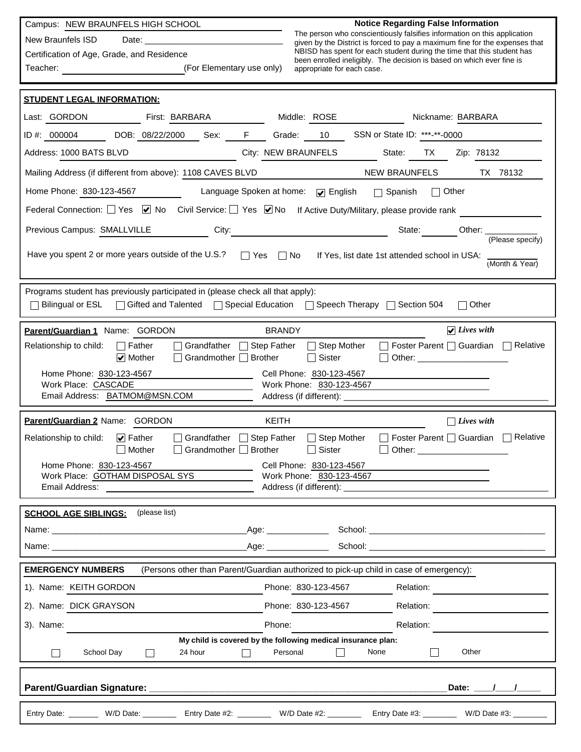Campus: NEW BRAUNFELS HIGH SCHOOL

New Braunfels ISD Date:  $\_$ 

Teacher:

Certification of Age, Grade, and Residence

(For Elementary use only)

**Notice Regarding False Information**

The person who conscientiously falsifies information on this application given by the District is forced to pay a maximum fine for the expenses that NBISD has spent for each student during the time that this student has been enrolled ineligibly. The decision is based on which ever fine is appropriate for each case.

| <b>STUDENT LEGAL INFORMATION:</b>                                                                                                                                                                                              |                                                                                                                                                                                                                                                    |
|--------------------------------------------------------------------------------------------------------------------------------------------------------------------------------------------------------------------------------|----------------------------------------------------------------------------------------------------------------------------------------------------------------------------------------------------------------------------------------------------|
| Last: GORDON First: BARBARA                                                                                                                                                                                                    | Middle: ROSE<br>Nickname: BARBARA                                                                                                                                                                                                                  |
|                                                                                                                                                                                                                                | ID #: 000004 DOB: 08/22/2000 Sex: F Grade: 10 SSN or State ID: ***-**-0000                                                                                                                                                                         |
| Address: 1000 BATS BLVD                                                                                                                                                                                                        | City: NEW BRAUNFELS<br>State: TX Zip: 78132                                                                                                                                                                                                        |
| Mailing Address (if different from above): 1108 CAVES BLVD                                                                                                                                                                     | <b>NEW BRAUNFELS</b><br>TX 78132                                                                                                                                                                                                                   |
| Home Phone: 830-123-4567                                                                                                                                                                                                       | Language Spoken at home: $\sqrt{\ }$ English $\Box$ Spanish $\Box$ Other                                                                                                                                                                           |
|                                                                                                                                                                                                                                | Federal Connection: Ves Ø No Civil Service: Yes Ø No If Active Duty/Military, please provide rank                                                                                                                                                  |
|                                                                                                                                                                                                                                | Previous Campus: SMALLVILLE City: City: City: State: City: State: Other: Campus: State: City: City: City: City: City: City: City: City: City: City: City: City: City: City: City: City: City: City: City: City: City: City: Ci<br>(Please specify) |
|                                                                                                                                                                                                                                | Have you spent 2 or more years outside of the U.S.?<br>Yes  No If Yes, list date 1st attended school in USA:<br>(Month & Year)                                                                                                                     |
| Programs student has previously participated in (please check all that apply):                                                                                                                                                 | Bilingual or ESL   Gifted and Talented   Special Education   Speech Therapy   Section 504<br>$\Box$ Other                                                                                                                                          |
| Parent/Guardian 1 Name: GORDON                                                                                                                                                                                                 | $\sqrt{Lives with}$<br><b>BRANDY</b>                                                                                                                                                                                                               |
| Grandfather Step Father<br>Relationship to child: $\Box$ Father<br>Grandmother <b>Brother</b><br>$\cup$ Mother                                                                                                                 | $\Box$ Foster Parent $\Box$ Guardian $\Box$ Relative<br>$\Box$ Step Mother<br>$\Box$ Sister<br>Other: _________________________                                                                                                                    |
| Home Phone: 830-123-4567                                                                                                                                                                                                       | Cell Phone: 830-123-4567                                                                                                                                                                                                                           |
| Work Place: CASCADE<br>Email Address: BATMOM@MSN.COM                                                                                                                                                                           | Work Phone: 830-123-4567<br>Address (if different): ______________                                                                                                                                                                                 |
|                                                                                                                                                                                                                                | KEITH                                                                                                                                                                                                                                              |
| Parent/Guardian 2 Name: GORDON<br>Relationship to child: $\sqrt{\phantom{a}}$ Father<br>Grandfather                                                                                                                            | $\Box$ Lives with<br>Foster Parent   Guardian   Relative<br>$\Box$ Step Father<br>□ Step Mother                                                                                                                                                    |
| Mother<br>$\Box$ Grandmother $\Box$ Brother                                                                                                                                                                                    | $\Box$ Sister                                                                                                                                                                                                                                      |
| Home Phone: 830-123-4567<br>Work Place: GOTHAM DISPOSAL SYS                                                                                                                                                                    | Cell Phone: 830-123-4567<br>Work Phone: 830-123-4567                                                                                                                                                                                               |
|                                                                                                                                                                                                                                |                                                                                                                                                                                                                                                    |
| <b>SCHOOL AGE SIBLINGS:</b><br>(please list)                                                                                                                                                                                   |                                                                                                                                                                                                                                                    |
|                                                                                                                                                                                                                                | _Age: _________________                                                                                                                                                                                                                            |
| Name: when the contract of the contract of the contract of the contract of the contract of the contract of the contract of the contract of the contract of the contract of the contract of the contract of the contract of the |                                                                                                                                                                                                                                                    |
| <b>EMERGENCY NUMBERS</b>                                                                                                                                                                                                       | (Persons other than Parent/Guardian authorized to pick-up child in case of emergency):                                                                                                                                                             |
| 1). Name: KEITH GORDON                                                                                                                                                                                                         | Phone: 830-123-4567<br>Relation:                                                                                                                                                                                                                   |
| 2). Name: DICK GRAYSON                                                                                                                                                                                                         | Phone: 830-123-4567<br>Relation:                                                                                                                                                                                                                   |
| 3). Name:                                                                                                                                                                                                                      | Phone:<br>Relation:                                                                                                                                                                                                                                |
| 24 hour<br>School Day                                                                                                                                                                                                          | My child is covered by the following medical insurance plan:<br>Other<br>None<br>Personal                                                                                                                                                          |
|                                                                                                                                                                                                                                | Date: / /                                                                                                                                                                                                                                          |
|                                                                                                                                                                                                                                | Entry Date: ________ W/D Date: __________ Entry Date #2: ________ W/D Date #2: ________ Entry Date #3: _______ W/D Date #3: _______                                                                                                                |
|                                                                                                                                                                                                                                |                                                                                                                                                                                                                                                    |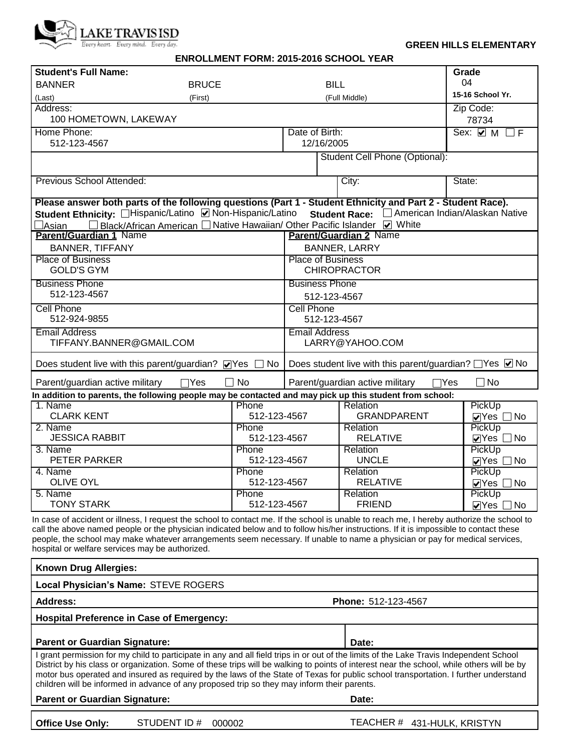

#### **GREEN HILLS ELEMENTARY**

#### **ENROLLMENT FORM: 2015-2016 SCHOOL YEAR**

| <b>Student's Full Name:</b>                      |                                                                                                                                                                                                                                                                                    |                                                       |                                               | Grade                            |  |  |
|--------------------------------------------------|------------------------------------------------------------------------------------------------------------------------------------------------------------------------------------------------------------------------------------------------------------------------------------|-------------------------------------------------------|-----------------------------------------------|----------------------------------|--|--|
| <b>BANNER</b>                                    | <b>BRUCE</b>                                                                                                                                                                                                                                                                       | <b>BILL</b>                                           |                                               | 04                               |  |  |
| (Last)                                           | (First)                                                                                                                                                                                                                                                                            |                                                       | (Full Middle)                                 | 15-16 School Yr.                 |  |  |
| Address:                                         |                                                                                                                                                                                                                                                                                    |                                                       |                                               | Zip Code:                        |  |  |
| 100 HOMETOWN, LAKEWAY                            |                                                                                                                                                                                                                                                                                    |                                                       |                                               | 78734                            |  |  |
| Home Phone:                                      |                                                                                                                                                                                                                                                                                    | Date of Birth:                                        |                                               | Sex: $\vee$ M $\Box$ F           |  |  |
| 512-123-4567                                     |                                                                                                                                                                                                                                                                                    | 12/16/2005                                            |                                               |                                  |  |  |
|                                                  |                                                                                                                                                                                                                                                                                    |                                                       | Student Cell Phone (Optional):                |                                  |  |  |
|                                                  |                                                                                                                                                                                                                                                                                    |                                                       |                                               |                                  |  |  |
| Previous School Attended:                        |                                                                                                                                                                                                                                                                                    |                                                       | City:                                         | State:                           |  |  |
|                                                  |                                                                                                                                                                                                                                                                                    |                                                       |                                               |                                  |  |  |
|                                                  | Please answer both parts of the following questions (Part 1 - Student Ethnicity and Part 2 - Student Race).                                                                                                                                                                        |                                                       |                                               |                                  |  |  |
|                                                  | Student Ethnicity: □Hispanic/Latino ☑ Non-Hispanic/Latino Student Race: □ American Indian/Alaskan Native                                                                                                                                                                           |                                                       |                                               |                                  |  |  |
| ∃Asian                                           | Black/African American □ Native Hawaiian/ Other Pacific Islander ■ White                                                                                                                                                                                                           |                                                       |                                               |                                  |  |  |
| Parent/Guardian 1 Name                           |                                                                                                                                                                                                                                                                                    |                                                       | <b>Parent/Guardian 2 Name</b>                 |                                  |  |  |
| <b>BANNER, TIFFANY</b>                           |                                                                                                                                                                                                                                                                                    |                                                       | <b>BANNER, LARRY</b>                          |                                  |  |  |
| <b>Place of Business</b>                         |                                                                                                                                                                                                                                                                                    | <b>Place of Business</b>                              |                                               |                                  |  |  |
| <b>GOLD'S GYM</b>                                |                                                                                                                                                                                                                                                                                    |                                                       | <b>CHIROPRACTOR</b>                           |                                  |  |  |
| <b>Business Phone</b>                            |                                                                                                                                                                                                                                                                                    | <b>Business Phone</b>                                 |                                               |                                  |  |  |
| 512-123-4567                                     |                                                                                                                                                                                                                                                                                    | 512-123-4567                                          |                                               |                                  |  |  |
| <b>Cell Phone</b>                                |                                                                                                                                                                                                                                                                                    | <b>Cell Phone</b>                                     |                                               |                                  |  |  |
| 512-924-9855                                     |                                                                                                                                                                                                                                                                                    | 512-123-4567                                          |                                               |                                  |  |  |
| <b>Email Address</b>                             |                                                                                                                                                                                                                                                                                    | <b>Email Address</b>                                  |                                               |                                  |  |  |
| TIFFANY.BANNER@GMAIL.COM                         |                                                                                                                                                                                                                                                                                    |                                                       | LARRY@YAHOO.COM                               |                                  |  |  |
|                                                  |                                                                                                                                                                                                                                                                                    |                                                       |                                               |                                  |  |  |
|                                                  | Does student live with this parent/guardian? $\triangledown$ Yes $\Box$ No                                                                                                                                                                                                         | Does student live with this parent/guardian? Nes Ø No |                                               |                                  |  |  |
| Parent/guardian active military                  | <b>No</b><br>$\Box Y$ es                                                                                                                                                                                                                                                           |                                                       | Parent/guardian active military<br>$\Box$ Yes | $\Box$ No                        |  |  |
|                                                  | In addition to parents, the following people may be contacted and may pick up this student from school:                                                                                                                                                                            |                                                       |                                               |                                  |  |  |
| 1. Name                                          | Phone                                                                                                                                                                                                                                                                              |                                                       | Relation                                      | PickUp                           |  |  |
| <b>CLARK KENT</b>                                | 512-123-4567                                                                                                                                                                                                                                                                       |                                                       | <b>GRANDPARENT</b>                            | $\triangledown$ Yes $\square$ No |  |  |
| 2. Name                                          | Phone                                                                                                                                                                                                                                                                              |                                                       | <b>Relation</b>                               | PickUp                           |  |  |
| <b>JESSICA RABBIT</b>                            | 512-123-4567                                                                                                                                                                                                                                                                       |                                                       | <b>RELATIVE</b>                               | $\triangledown$ Yes $\Box$ No    |  |  |
| 3. Name                                          | Phone                                                                                                                                                                                                                                                                              |                                                       | <b>Relation</b>                               | PickUp                           |  |  |
| PETER PARKER                                     | 512-123-4567                                                                                                                                                                                                                                                                       |                                                       | <b>UNCLE</b>                                  | $\triangledown$ Yes $\square$ No |  |  |
| 4. Name                                          | Phone                                                                                                                                                                                                                                                                              |                                                       | Relation                                      | PickUp                           |  |  |
| <b>OLIVE OYL</b>                                 | 512-123-4567                                                                                                                                                                                                                                                                       |                                                       | <b>RELATIVE</b>                               | $\triangledown$ Yes $\Box$ No    |  |  |
| 5. Name                                          | Phone                                                                                                                                                                                                                                                                              |                                                       | Relation                                      | PickUp                           |  |  |
| <b>TONY STARK</b>                                | 512-123-4567                                                                                                                                                                                                                                                                       |                                                       | <b>FRIEND</b>                                 | $\triangledown$ Yes $\Box$ No    |  |  |
|                                                  | In case of accident or illness, I request the school to contact me. If the school is unable to reach me, I hereby authorize the school to<br>call the above named people or the physician indicated below and to follow his/her instructions. If it is impossible to contact these |                                                       |                                               |                                  |  |  |
| hospital or welfare services may be authorized.  | people, the school may make whatever arrangements seem necessary. If unable to name a physician or pay for medical services,                                                                                                                                                       |                                                       |                                               |                                  |  |  |
|                                                  |                                                                                                                                                                                                                                                                                    |                                                       |                                               |                                  |  |  |
| <b>Known Drug Allergies:</b>                     |                                                                                                                                                                                                                                                                                    |                                                       |                                               |                                  |  |  |
| Local Physician's Name: STEVE ROGERS             |                                                                                                                                                                                                                                                                                    |                                                       |                                               |                                  |  |  |
| <b>Address:</b><br><b>Phone: 512-123-4567</b>    |                                                                                                                                                                                                                                                                                    |                                                       |                                               |                                  |  |  |
| <b>Hospital Preference in Case of Emergency:</b> |                                                                                                                                                                                                                                                                                    |                                                       |                                               |                                  |  |  |
|                                                  |                                                                                                                                                                                                                                                                                    |                                                       |                                               |                                  |  |  |
| <b>Parent or Guardian Signature:</b>             |                                                                                                                                                                                                                                                                                    |                                                       | Date:                                         |                                  |  |  |
|                                                  | I grant permission for my child to participate in any and all field trips in or out of the limits of the Lake Travis Independent School                                                                                                                                            |                                                       |                                               |                                  |  |  |
|                                                  | District by his class or organization. Some of these trips will be walking to points of interest near the school, while others will be by                                                                                                                                          |                                                       |                                               |                                  |  |  |
|                                                  | motor bus operated and insured as required by the laws of the State of Texas for public school transportation. I further understand<br>children will be informed in advance of any proposed trip so they may inform their parents.                                                 |                                                       |                                               |                                  |  |  |
|                                                  |                                                                                                                                                                                                                                                                                    |                                                       |                                               |                                  |  |  |
| <b>Parent or Guardian Signature:</b>             |                                                                                                                                                                                                                                                                                    |                                                       | Date:                                         |                                  |  |  |
|                                                  |                                                                                                                                                                                                                                                                                    |                                                       |                                               |                                  |  |  |
| <b>Office Use Only:</b>                          | STUDENT ID#<br>000002                                                                                                                                                                                                                                                              |                                                       | TEACHER # 431-HULK, KRISTYN                   |                                  |  |  |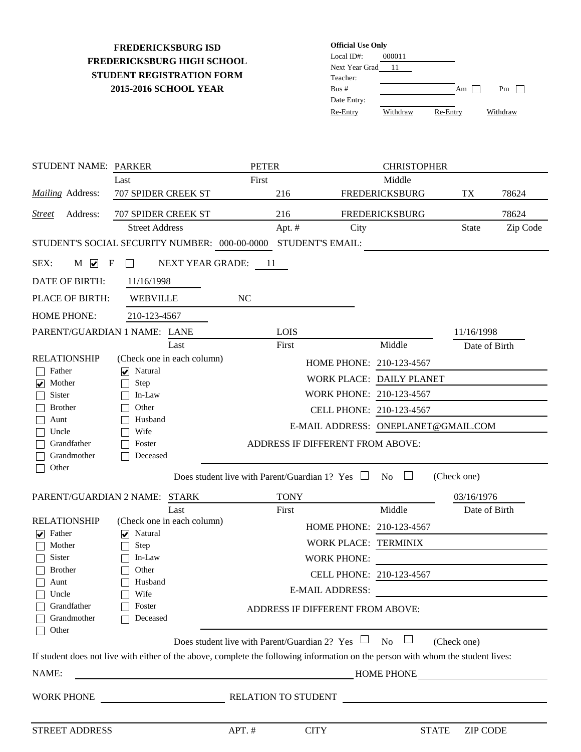## **STUDENT REGISTRATION FORM 2015-2016 SCHOOL YEAR FREDERICKSBURG ISD FREDERICKSBURG HIGH SCHOOL**

| <b>Official Use Only</b> |          |          |          |
|--------------------------|----------|----------|----------|
| Local $ID#$ :            | 000011   |          |          |
| Next Year Grad           | 11       |          |          |
| Teacher:                 |          |          |          |
| Bus#                     |          | Am       | Pm       |
| Date Entry:              |          |          |          |
| Re-Entry                 | Withdraw | Re-Entry | Withdraw |

| STUDENT NAME: PARKER                         |                                                                                                                                  | <b>PETER</b>                                                   |                          | <b>CHRISTOPHER</b>                  |               |          |
|----------------------------------------------|----------------------------------------------------------------------------------------------------------------------------------|----------------------------------------------------------------|--------------------------|-------------------------------------|---------------|----------|
|                                              | Last                                                                                                                             | First                                                          |                          | Middle                              |               |          |
| <b>Mailing Address:</b>                      | 707 SPIDER CREEK ST                                                                                                              | 216                                                            |                          | <b>FREDERICKSBURG</b>               | TX            | 78624    |
| Address:<br><b>Street</b>                    | <b>707 SPIDER CREEK ST</b>                                                                                                       | 216                                                            |                          | <b>FREDERICKSBURG</b>               |               | 78624    |
|                                              | <b>Street Address</b>                                                                                                            | Apt. #                                                         | City                     |                                     | <b>State</b>  | Zip Code |
|                                              | STUDENT'S SOCIAL SECURITY NUMBER: 000-00-0000                                                                                    |                                                                | <b>STUDENT'S EMAIL:</b>  |                                     |               |          |
| SEX:<br>$M \nightharpoonup$<br>F             | NEXT YEAR GRADE:                                                                                                                 | -11                                                            |                          |                                     |               |          |
| DATE OF BIRTH:                               | 11/16/1998                                                                                                                       |                                                                |                          |                                     |               |          |
| PLACE OF BIRTH:                              | <b>WEBVILLE</b>                                                                                                                  | NC                                                             |                          |                                     |               |          |
| <b>HOME PHONE:</b>                           | 210-123-4567                                                                                                                     |                                                                |                          |                                     |               |          |
| PARENT/GUARDIAN 1 NAME: LANE                 |                                                                                                                                  | <b>LOIS</b>                                                    |                          |                                     | 11/16/1998    |          |
|                                              | Last                                                                                                                             | First                                                          |                          | Middle                              | Date of Birth |          |
| <b>RELATIONSHIP</b>                          | (Check one in each column)                                                                                                       |                                                                | HOME PHONE: 210-123-4567 |                                     |               |          |
| Father                                       | $\sqrt{\phantom{a}}$ Natural                                                                                                     |                                                                |                          | WORK PLACE: DAILY PLANET            |               |          |
| Mother<br>$\overline{\mathbf{v}}$<br>Sister  | Step<br>In-Law                                                                                                                   |                                                                | WORK PHONE: 210-123-4567 |                                     |               |          |
| <b>Brother</b>                               | Other                                                                                                                            |                                                                | CELL PHONE: 210-123-4567 |                                     |               |          |
| Aunt                                         | Husband                                                                                                                          |                                                                |                          | E-MAIL ADDRESS: ONEPLANET@GMAIL.COM |               |          |
| Uncle                                        | Wife                                                                                                                             |                                                                |                          |                                     |               |          |
| Grandfather<br>Grandmother                   | Foster<br>Deceased                                                                                                               | ADDRESS IF DIFFERENT FROM ABOVE:                               |                          |                                     |               |          |
| Other                                        |                                                                                                                                  |                                                                |                          |                                     |               |          |
|                                              |                                                                                                                                  | Does student live with Parent/Guardian 1? Yes $\Box$           |                          | <b>No</b><br>$\mathbb{R}^n$         | (Check one)   |          |
| PARENT/GUARDIAN 2 NAME:                      | <b>STARK</b>                                                                                                                     | <b>TONY</b>                                                    |                          |                                     | 03/16/1976    |          |
|                                              | Last                                                                                                                             | First                                                          |                          | Middle                              | Date of Birth |          |
| <b>RELATIONSHIP</b>                          | (Check one in each column)                                                                                                       |                                                                | HOME PHONE: 210-123-4567 |                                     |               |          |
| Father<br>$\vert \checkmark \vert$<br>Mother | Natural<br>$\left  \bm{\mathsf{v}} \right $<br>Step                                                                              |                                                                | WORK PLACE: TERMINIX     |                                     |               |          |
| Sister                                       | In-Law                                                                                                                           |                                                                | <b>WORK PHONE:</b>       |                                     |               |          |
| <b>Brother</b>                               | Other                                                                                                                            |                                                                | CELL PHONE: 210-123-4567 |                                     |               |          |
| Aunt                                         | $\Box$ Husband                                                                                                                   |                                                                | <b>E-MAIL ADDRESS:</b>   |                                     |               |          |
| Uncle                                        | Wife                                                                                                                             |                                                                |                          |                                     |               |          |
| Grandfather<br>Grandmother                   | Foster<br>Deceased                                                                                                               | ADDRESS IF DIFFERENT FROM ABOVE:                               |                          |                                     |               |          |
| Other                                        |                                                                                                                                  |                                                                |                          |                                     |               |          |
|                                              |                                                                                                                                  | Does student live with Parent/Guardian 2? Yes $\Box$ No $\Box$ |                          |                                     | (Check one)   |          |
|                                              | If student does not live with either of the above, complete the following information on the person with whom the student lives: |                                                                |                          |                                     |               |          |
| NAME:                                        | HOME PHONE                                                                                                                       |                                                                |                          |                                     |               |          |
|                                              | WORK PHONE RELATION TO STUDENT                                                                                                   |                                                                |                          |                                     |               |          |
|                                              |                                                                                                                                  |                                                                |                          |                                     |               |          |
| STREET ADDRESS                               |                                                                                                                                  | APT. $#$                                                       | <b>CITY</b>              | <b>STATE</b>                        | ZIP CODE      |          |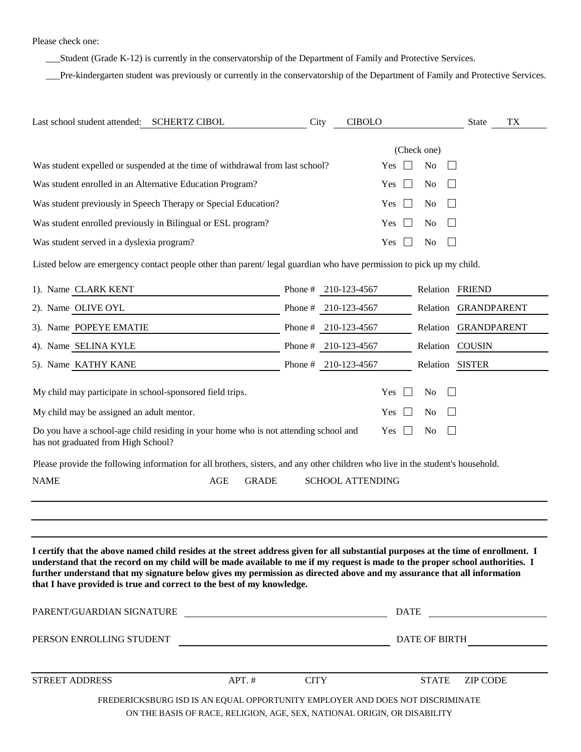Please check one:

\_\_\_Student (Grade K-12) is currently in the conservatorship of the Department of Family and Protective Services.

\_\_\_Pre-kindergarten student was previously or currently in the conservatorship of the Department of Family and Protective Services.

| Last school student attended: SCHERTZ CIBOL                                                                                                                                                                                                                                                                                                                                                                                                                            | City        | <b>CIBOLO</b>           |     |                 | State                | TX            |
|------------------------------------------------------------------------------------------------------------------------------------------------------------------------------------------------------------------------------------------------------------------------------------------------------------------------------------------------------------------------------------------------------------------------------------------------------------------------|-------------|-------------------------|-----|-----------------|----------------------|---------------|
|                                                                                                                                                                                                                                                                                                                                                                                                                                                                        |             |                         |     | (Check one)     |                      |               |
| Was student expelled or suspended at the time of withdrawal from last school?                                                                                                                                                                                                                                                                                                                                                                                          |             |                         | Yes | No              |                      |               |
| Was student enrolled in an Alternative Education Program?                                                                                                                                                                                                                                                                                                                                                                                                              |             |                         | Yes | No              |                      |               |
| Was student previously in Speech Therapy or Special Education?                                                                                                                                                                                                                                                                                                                                                                                                         |             |                         | Yes | N <sub>0</sub>  |                      |               |
| Was student enrolled previously in Bilingual or ESL program?                                                                                                                                                                                                                                                                                                                                                                                                           |             |                         | Yes | N <sub>0</sub>  |                      |               |
| Was student served in a dyslexia program?                                                                                                                                                                                                                                                                                                                                                                                                                              |             |                         | Yes | N <sub>o</sub>  |                      |               |
| Listed below are emergency contact people other than parent/legal guardian who have permission to pick up my child.                                                                                                                                                                                                                                                                                                                                                    |             |                         |     |                 |                      |               |
| 1). Name CLARK KENT                                                                                                                                                                                                                                                                                                                                                                                                                                                    |             | Phone # $210-123-4567$  |     |                 | Relation FRIEND      |               |
| 2). Name OLIVE OYL                                                                                                                                                                                                                                                                                                                                                                                                                                                     |             | Phone # $210-123-4567$  |     |                 | Relation GRANDPARENT |               |
| 3). Name POPEYE EMATIE                                                                                                                                                                                                                                                                                                                                                                                                                                                 |             | Phone # 210-123-4567    |     |                 | Relation GRANDPARENT |               |
| 4). Name SELINA KYLE                                                                                                                                                                                                                                                                                                                                                                                                                                                   |             | Phone # 210-123-4567    |     |                 | Relation COUSIN      |               |
| 5). Name KATHY KANE                                                                                                                                                                                                                                                                                                                                                                                                                                                    |             | Phone # 210-123-4567    |     | Relation SISTER |                      |               |
| My child may participate in school-sponsored field trips.                                                                                                                                                                                                                                                                                                                                                                                                              |             |                         | Yes | No              |                      |               |
| My child may be assigned an adult mentor.                                                                                                                                                                                                                                                                                                                                                                                                                              |             |                         | Yes | N <sub>0</sub>  |                      |               |
| Do you have a school-age child residing in your home who is not attending school and<br>has not graduated from High School?                                                                                                                                                                                                                                                                                                                                            |             |                         | Yes | N <sub>o</sub>  |                      |               |
| Please provide the following information for all brothers, sisters, and any other children who live in the student's household.                                                                                                                                                                                                                                                                                                                                        |             |                         |     |                 |                      |               |
| <b>NAME</b><br><b>AGE</b><br><b>GRADE</b>                                                                                                                                                                                                                                                                                                                                                                                                                              |             | <b>SCHOOL ATTENDING</b> |     |                 |                      |               |
|                                                                                                                                                                                                                                                                                                                                                                                                                                                                        |             |                         |     |                 |                      |               |
|                                                                                                                                                                                                                                                                                                                                                                                                                                                                        |             |                         |     |                 |                      |               |
| I certify that the above named child resides at the street address given for all substantial purposes at the time of enrollment. I<br>understand that the record on my child will be made available to me if my request is made to the proper school authorities. I<br>further understand that my signature below gives my permission as directed above and my assurance that all information<br>that I have provided is true and correct to the best of my knowledge. |             |                         |     |                 |                      |               |
| PARENT/GUARDIAN SIGNATURE                                                                                                                                                                                                                                                                                                                                                                                                                                              |             |                         |     |                 |                      |               |
| PERSON ENROLLING STUDENT                                                                                                                                                                                                                                                                                                                                                                                                                                               |             |                         |     |                 |                      | DATE OF BIRTH |
| STREET ADDRESS<br>APT. #                                                                                                                                                                                                                                                                                                                                                                                                                                               | <b>CITY</b> |                         |     | <b>STATE</b>    | <b>ZIP CODE</b>      |               |
| FREDERICKSBURG ISD IS AN EQUAL OPPORTUNITY EMPLOYER AND DOES NOT DISCRIMINATE                                                                                                                                                                                                                                                                                                                                                                                          |             |                         |     |                 |                      |               |

ON THE BASIS OF RACE, RELIGION, AGE, SEX, NATIONAL ORIGIN, OR DISABILITY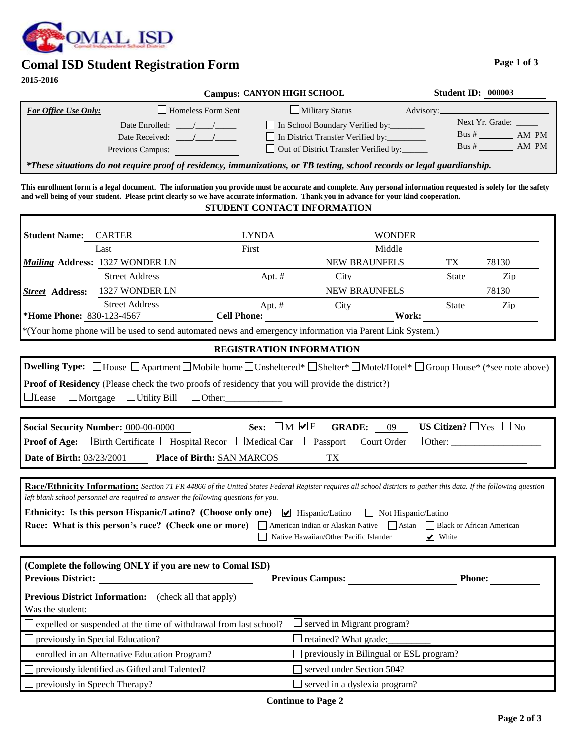

# **Comal ISD Student Registration Form**

**2015-2016**

|                             |                                | <b>Campus: CANYON HIGH SCHOOL</b>     | <b>Student ID: 000003</b> |
|-----------------------------|--------------------------------|---------------------------------------|---------------------------|
| <b>For Office Use Only:</b> | Homeless Form Sent             | $\Box$ Military Status                | Advisory:                 |
|                             | Date Enrolled: $\frac{1}{2}$ / | In School Boundary Verified by:       | Next Yr. Grade:           |
|                             | Date Received:                 | In District Transfer Verified by:     | Bus#<br>AM PM             |
|                             | Previous Campus:               | Out of District Transfer Verified by: | AM PM<br>Bus#             |
|                             |                                |                                       |                           |

*\*These situations do not require proof of residency, immunizations, or TB testing, school records or legal guardianship.*

**This enrollment form is a legal document. The information you provide must be accurate and complete. Any personal information requested is solely for the safety and well being of your student. Please print clearly so we have accurate information. Thank you in advance for your kind cooperation. STUDENT CONTACT INFORMATION**

#### 830-123-4567 **\*Home Phone: Student Name:** CARTER *Mailing* 1327 WONDER LN **Address:** TX LYNDA WONDER NEW BRAUNFELS TX 78130 1327 WONDER LN **NEW BRAUNFELS** 78130 Last First First Middle **Street** Address: Street Address Apt. # City State Zip \*(Your home phone will be used to send automated news and emergency information via Parent Link System.) Street Address **Apt. #** City State Zip **Cell Phone: Work:**

#### **REGISTRATION INFORMATION**

|  |                                                                | <b>Dwelling Type:</b> $\Box$ House $\Box$ Apartment $\Box$ Mobile home $\Box$ Unsheltered <sup>*</sup> $\Box$ Shelter <sup>*</sup> $\Box$ Motel/Hotel <sup>*</sup> $\Box$ Group House <sup>*</sup> (*see note above) |
|--|----------------------------------------------------------------|----------------------------------------------------------------------------------------------------------------------------------------------------------------------------------------------------------------------|
|  |                                                                | <b>Proof of Residency</b> (Please check the two proofs of residency that you will provide the district?)                                                                                                             |
|  | $\Box$ Lease $\Box$ Mortgage $\Box$ Utility Bill $\Box$ Other: |                                                                                                                                                                                                                      |

| Social Security Number: 000-00-0000                                                                                                                       |                                   | Sex: $\Box$ M $\Box$ F GRADE: 09 |  | US Citizen? $\Box$ Yes $\Box$ No |
|-----------------------------------------------------------------------------------------------------------------------------------------------------------|-----------------------------------|----------------------------------|--|----------------------------------|
| <b>Proof of Age:</b> $\square$ Birth Certificate $\square$ Hospital Recor $\square$ Medical Car $\square$ Passport $\square$ Court Order $\square$ Other: |                                   |                                  |  |                                  |
| <b>Date of Birth: 03/23/2001</b>                                                                                                                          | <b>Place of Birth: SAN MARCOS</b> |                                  |  |                                  |

**Race/Ethnicity Information:** *Section 71 FR 44866 of the United States Federal Register requires all school districts to gather this data. If the following question left blank school personnel are required to answer the following questions for you.*

| <b>Ethnicity:</b> Is this person Hispanic/Latino? (Choose only one) $\vee$ Hispanic/Latino $\Box$ Not Hispanic/Latino          |                                        |                             |
|--------------------------------------------------------------------------------------------------------------------------------|----------------------------------------|-----------------------------|
| <b>Race: What is this person's race? (Check one or more)</b> American Indian or Alaskan Native Asian Black or African American |                                        |                             |
|                                                                                                                                | Native Hawaiian/Other Pacific Islander | $\blacktriangleright$ White |

| (Complete the following ONLY if you are new to Comal ISD)<br><b>Previous District:</b> | <b>Previous Campus:</b>                 | <b>Phone:</b> |
|----------------------------------------------------------------------------------------|-----------------------------------------|---------------|
| <b>Previous District Information:</b><br>(check all that apply)<br>Was the student:    |                                         |               |
| $\Box$ expelled or suspended at the time of withdrawal from last school?               | served in Migrant program?              |               |
| $\Box$ previously in Special Education?                                                | retained? What grade:                   |               |
| $\Box$ enrolled in an Alternative Education Program?                                   | previously in Bilingual or ESL program? |               |
| $\Box$ previously identified as Gifted and Talented?                                   | served under Section 504?               |               |
| $\Box$ previously in Speech Therapy?                                                   | served in a dyslexia program?           |               |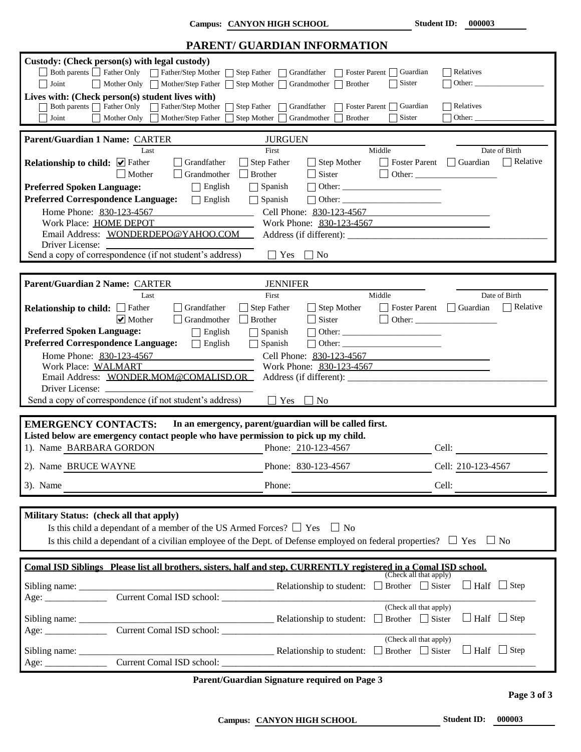**Campus: CANYON HIGH SCHOOL Student ID:** 000003

|                                             |                                                                                                                                                | PARENT/ GUARDIAN INFORMATION                                                                                     |                                                                                                                               |                 |
|---------------------------------------------|------------------------------------------------------------------------------------------------------------------------------------------------|------------------------------------------------------------------------------------------------------------------|-------------------------------------------------------------------------------------------------------------------------------|-----------------|
| Joint                                       | Custody: (Check person(s) with legal custody)<br>Both parents Father Only Father/Step Mother<br>$\mathbf{I}$<br>Mother Only Mother/Step Father | Step Father<br>$\sqcap$ Grandfather<br>Foster Parent                                                             | Guardian<br>Relatives<br>$\Box$ Sister<br>Other:                                                                              |                 |
|                                             |                                                                                                                                                | Step Mother<br><b>Brother</b><br>Grandmother                                                                     |                                                                                                                               |                 |
|                                             | Lives with: (Check person(s) student lives with)                                                                                               |                                                                                                                  |                                                                                                                               |                 |
| Both parents   Father Only                  | Father/Step Mother                                                                                                                             | <b>Step Father</b><br>Grandfather<br>Foster Parent                                                               | $\Box$ Guardian<br>Relatives                                                                                                  |                 |
| Joint                                       | Mother Only<br>Mother/Step Father                                                                                                              | Step Mother<br>Grandmother<br><b>Brother</b>                                                                     | $\Box$ Sister<br>Other:                                                                                                       |                 |
| Parent/Guardian 1 Name: CARTER              |                                                                                                                                                |                                                                                                                  |                                                                                                                               |                 |
|                                             |                                                                                                                                                | <b>JURGUEN</b>                                                                                                   |                                                                                                                               |                 |
| <b>Relationship to child:</b> ○ Father      | Last<br>Grandfather<br>$\Box$ Grandmother<br>Mother                                                                                            | First<br>Step Father<br>$\Box$ Step Mother<br>$\Box$ Brother<br>$\Box$ Sister                                    | Middle<br>Date of Birth<br>Guardian<br>    Foster Parent                                                                      | $\Box$ Relative |
| <b>Preferred Spoken Language:</b>           | $\Box$ English                                                                                                                                 | $\Box$ Spanish                                                                                                   |                                                                                                                               |                 |
| <b>Preferred Correspondence Language:</b>   | $\Box$ English                                                                                                                                 | $\Box$ Spanish                                                                                                   |                                                                                                                               |                 |
| Home Phone: 830-123-4567                    |                                                                                                                                                | Cell Phone: 830-123-4567                                                                                         |                                                                                                                               |                 |
| Work Place: HOME DEPOT                      |                                                                                                                                                |                                                                                                                  | Work Phone: 830-123-4567                                                                                                      |                 |
|                                             | Email Address: WONDERDEPO@YAHOO.COM                                                                                                            |                                                                                                                  |                                                                                                                               |                 |
| Driver License:                             |                                                                                                                                                |                                                                                                                  |                                                                                                                               |                 |
|                                             | Send a copy of correspondence (if not student's address)                                                                                       | Yes<br>$\Box$ No<br>$\mathbf{I}$                                                                                 |                                                                                                                               |                 |
|                                             |                                                                                                                                                |                                                                                                                  |                                                                                                                               |                 |
|                                             |                                                                                                                                                |                                                                                                                  |                                                                                                                               |                 |
| Parent/Guardian 2 Name: CARTER              |                                                                                                                                                | <b>JENNIFER</b>                                                                                                  |                                                                                                                               |                 |
|                                             | Last                                                                                                                                           | First                                                                                                            | Middle<br>Date of Birth                                                                                                       |                 |
| <b>Relationship to child:</b> $\Box$ Father | Grandfather                                                                                                                                    | <b>Step Father</b><br>$\Box$ Step Mother                                                                         | $\Box$ Guardian<br><b>Foster Parent</b>                                                                                       | $\neg$ Relative |
|                                             | $\triangledown$ Mother<br>$\Box$ Grandmother                                                                                                   | $\Box$ Sister<br><b>Brother</b>                                                                                  |                                                                                                                               |                 |
| <b>Preferred Spoken Language:</b>           | $\Box$ English                                                                                                                                 | $\Box$ Spanish                                                                                                   |                                                                                                                               |                 |
| <b>Preferred Correspondence Language:</b>   | $\Box$ English                                                                                                                                 | $\Box$ Spanish                                                                                                   |                                                                                                                               |                 |
| Home Phone: 830-123-4567                    |                                                                                                                                                | Cell Phone: 830-123-4567                                                                                         |                                                                                                                               |                 |
| Work Place: WALMART                         |                                                                                                                                                | Work Phone: 830-123-4567                                                                                         |                                                                                                                               |                 |
|                                             | Email Address: WONDER MOM@COMALISD.OR                                                                                                          |                                                                                                                  |                                                                                                                               |                 |
|                                             | Driver License:                                                                                                                                |                                                                                                                  |                                                                                                                               |                 |
|                                             | Send a copy of correspondence (if not student's address)                                                                                       | $\mathbf{1}$<br>Yes<br>$\Box$ No                                                                                 |                                                                                                                               |                 |
|                                             |                                                                                                                                                |                                                                                                                  |                                                                                                                               |                 |
| <b>EMERGENCY CONTACTS:</b>                  |                                                                                                                                                | In an emergency, parent/guardian will be called first.                                                           |                                                                                                                               |                 |
|                                             |                                                                                                                                                | Listed below are emergency contact people who have permission to pick up my child.                               |                                                                                                                               |                 |
|                                             |                                                                                                                                                |                                                                                                                  |                                                                                                                               |                 |
| 1). Name BARBARA GORDON                     |                                                                                                                                                | Phone: 210-123-4567                                                                                              | Cell:                                                                                                                         |                 |
| 2). Name BRUCE WAYNE                        |                                                                                                                                                | Phone: 830-123-4567                                                                                              | Cell: 210-123-4567                                                                                                            |                 |
|                                             |                                                                                                                                                |                                                                                                                  |                                                                                                                               |                 |
| 3). Name                                    |                                                                                                                                                | Phone:                                                                                                           | Cell:                                                                                                                         |                 |
|                                             |                                                                                                                                                |                                                                                                                  |                                                                                                                               |                 |
| Military Status: (check all that apply)     |                                                                                                                                                |                                                                                                                  |                                                                                                                               |                 |
|                                             |                                                                                                                                                |                                                                                                                  |                                                                                                                               |                 |
|                                             | Is this child a dependant of a member of the US Armed Forces? $\Box$ Yes $\Box$ No                                                             |                                                                                                                  |                                                                                                                               |                 |
|                                             |                                                                                                                                                |                                                                                                                  | Is this child a dependant of a civilian employee of the Dept. of Defense employed on federal properties? $\Box$ Yes $\Box$ No |                 |
|                                             |                                                                                                                                                |                                                                                                                  |                                                                                                                               |                 |
|                                             |                                                                                                                                                | Comal ISD Siblings Please list all brothers, sisters, half and step, CURRENTLY registered in a Comal ISD school. |                                                                                                                               |                 |
|                                             |                                                                                                                                                |                                                                                                                  | (Check all that apply)                                                                                                        |                 |
|                                             |                                                                                                                                                |                                                                                                                  | $\Box$ Half $\Box$ Step                                                                                                       |                 |
| Age:                                        |                                                                                                                                                |                                                                                                                  |                                                                                                                               |                 |
|                                             |                                                                                                                                                |                                                                                                                  | (Check all that apply)                                                                                                        |                 |
|                                             |                                                                                                                                                |                                                                                                                  | $\Box$ Half $\Box$ Step<br>Brother $\Box$ Sister                                                                              |                 |
|                                             | Current Comal ISD school:                                                                                                                      |                                                                                                                  |                                                                                                                               |                 |
|                                             |                                                                                                                                                |                                                                                                                  | (Check all that apply)                                                                                                        |                 |
| Sibling name:                               |                                                                                                                                                | <b>EXECUTE:</b> Relationship to student: □ Brother □ Sister                                                      | $\Box$ Half $\Box$ Step                                                                                                       |                 |
|                                             |                                                                                                                                                |                                                                                                                  |                                                                                                                               |                 |
|                                             | Current Comal ISD school:                                                                                                                      |                                                                                                                  |                                                                                                                               |                 |

**Parent/Guardian Signature required on Page 3**

**Page 3 of 3**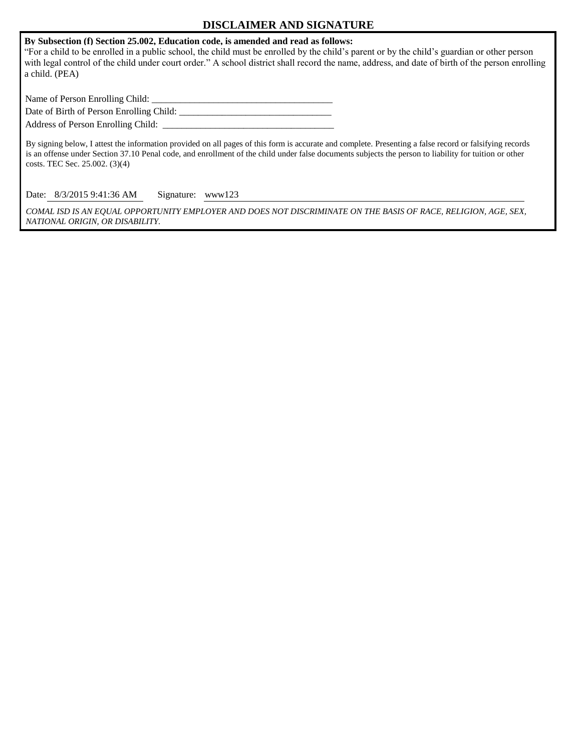### **DISCLAIMER AND SIGNATURE**

**By Subsection (f) Section 25.002, Education code, is amended and read as follows:**

"For a child to be enrolled in a public school, the child must be enrolled by the child's parent or by the child's guardian or other person with legal control of the child under court order." A school district shall record the name, address, and date of birth of the person enrolling a child. (PEA)

Name of Person Enrolling Child: \_\_\_\_\_\_\_\_\_\_\_\_\_\_\_\_\_\_\_\_\_\_\_\_\_\_\_\_\_\_\_\_\_\_\_\_\_\_

Date of Birth of Person Enrolling Child: \_\_\_\_\_\_\_\_\_\_\_\_\_\_\_\_\_\_\_\_\_\_\_\_\_\_\_\_\_\_\_\_

Address of Person Enrolling Child: \_\_\_\_\_\_\_\_\_\_\_\_\_\_\_\_\_\_\_\_\_\_\_\_\_\_\_\_\_\_\_\_\_\_\_\_

By signing below, I attest the information provided on all pages of this form is accurate and complete. Presenting a false record or falsifying records is an offense under Section 37.10 Penal code, and enrollment of the child under false documents subjects the person to liability for tuition or other costs. TEC Sec. 25.002. (3)(4)

Date: 8/3/2015 9:41:36 AM Signature: www123

*COMAL ISD IS AN EQUAL OPPORTUNITY EMPLOYER AND DOES NOT DISCRIMINATE ON THE BASIS OF RACE, RELIGION, AGE, SEX, NATIONAL ORIGIN, OR DISABILITY.*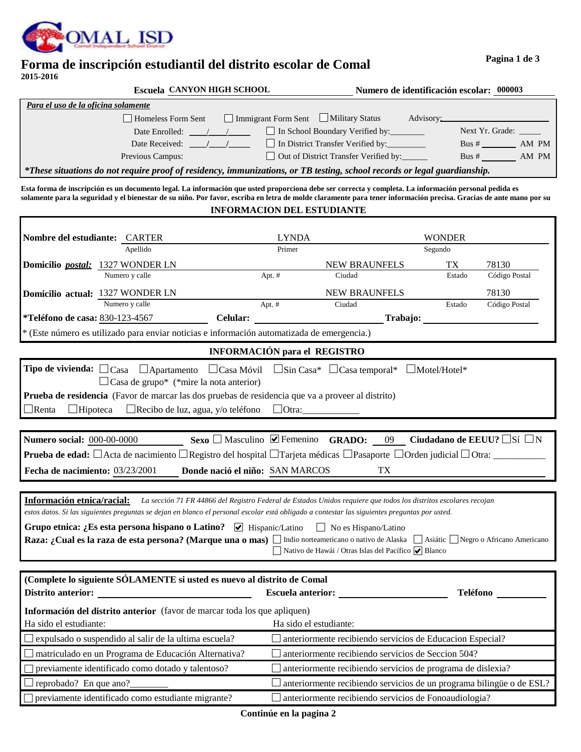

### **Forma de inscripción estudiantil del distrito escolar de Comal 2015-2016**

| <b>Escuela CANYON HIGH SCHOOL</b>                                                                                        |                                                | Numero de identificación escolar: 000003 |                  |  |
|--------------------------------------------------------------------------------------------------------------------------|------------------------------------------------|------------------------------------------|------------------|--|
| Para el uso de la oficina solamente                                                                                      |                                                |                                          |                  |  |
| Homeless Form Sent                                                                                                       | Immigrant Form Sent   Military Status          | Advisory:                                |                  |  |
| Date Enrolled:                                                                                                           | In School Boundary Verified by:                |                                          | Next Yr. Grade:  |  |
| Date Received:                                                                                                           | In District Transfer Verified by:              |                                          | AM PM<br>Bus $#$ |  |
| Previous Campus:                                                                                                         | □ Out of District Transfer Verified by: ______ |                                          | AM PM<br>Bus $#$ |  |
| *These situations do not require proof of residency, immunizations, or TB testing, school records or legal guardianship. |                                                |                                          |                  |  |
|                                                                                                                          |                                                |                                          |                  |  |

**Esta forma de inscripción es un documento legal. La información que usted proporciona debe ser correcta y completa. La información personal pedida es solamente para la seguridad y el bienestar de su niño. Por favor, escriba en letra de molde claramente para tener información precisa. Gracias de ante mano por su INFORMACION DEL ESTUDIANTE**

| Nombre del estudiante: CARTER                                                                                                                                                                                                                                                                       | <b>LYNDA</b>                        |                                                                      | WONDER   |               |  |
|-----------------------------------------------------------------------------------------------------------------------------------------------------------------------------------------------------------------------------------------------------------------------------------------------------|-------------------------------------|----------------------------------------------------------------------|----------|---------------|--|
| Apellido                                                                                                                                                                                                                                                                                            | Primer                              |                                                                      | Segundo  |               |  |
| Domicilio postal: 1327 WONDER LN                                                                                                                                                                                                                                                                    |                                     | NEW BRAUNFELS                                                        | TX       | 78130         |  |
| Numero y calle                                                                                                                                                                                                                                                                                      | Apt. #                              | Ciudad                                                               | Estado   | Código Postal |  |
| Domicilio actual: 1327 WONDER LN                                                                                                                                                                                                                                                                    |                                     | NEW BRAUNFELS                                                        |          | 78130         |  |
| Numero y calle                                                                                                                                                                                                                                                                                      | Apt. #                              | Ciudad                                                               | Estado   | Código Postal |  |
| *Teléfono de casa: 830-123-4567<br><b>Celular:</b>                                                                                                                                                                                                                                                  |                                     | Trabajo:                                                             |          |               |  |
| * (Este número es utilizado para enviar noticias e información automatizada de emergencia.)                                                                                                                                                                                                         |                                     |                                                                      |          |               |  |
|                                                                                                                                                                                                                                                                                                     | <b>INFORMACIÓN</b> para el REGISTRO |                                                                      |          |               |  |
| <b>Tipo de vivienda:</b> $\Box$ Casa $\Box$ Apartamento $\Box$ Casa Móvil $\Box$ Sin Casa* $\Box$ Casa temporal* $\Box$ Motel/Hotel*                                                                                                                                                                |                                     |                                                                      |          |               |  |
| $\Box$ Casa de grupo* (*mire la nota anterior)                                                                                                                                                                                                                                                      |                                     |                                                                      |          |               |  |
| Prueba de residencia (Favor de marcar las dos pruebas de residencia que va a proveer al distrito)                                                                                                                                                                                                   |                                     |                                                                      |          |               |  |
| $\Box$ Hipoteca $\Box$ Recibo de luz, agua, y/o teléfono $\Box$ Otra:<br>$\Box$ Renta                                                                                                                                                                                                               |                                     |                                                                      |          |               |  |
|                                                                                                                                                                                                                                                                                                     |                                     |                                                                      |          |               |  |
| Sexo $\Box$ Masculino $\Box$ Femenino GRADO:<br>Ciudadano de EEUU? $\square$ Sí $\square$ N<br><b>Numero social: 000-00-0000</b><br>09                                                                                                                                                              |                                     |                                                                      |          |               |  |
|                                                                                                                                                                                                                                                                                                     |                                     |                                                                      |          |               |  |
| Donde nació el niño: SAN MARCOS<br>Fecha de nacimiento: 03/23/2001                                                                                                                                                                                                                                  |                                     | ТX                                                                   |          |               |  |
|                                                                                                                                                                                                                                                                                                     |                                     |                                                                      |          |               |  |
| <b>Información etnica/racial:</b> La sección 71 FR 44866 del Registro Federal de Estados Unidos requiere que todos los distritos escolares recojan<br>estos datos. Si las siguientes preguntas se dejan en blanco el personal escolar está obligado a contestar las siguientes preguntas por usted. |                                     |                                                                      |          |               |  |
|                                                                                                                                                                                                                                                                                                     |                                     |                                                                      |          |               |  |
| Grupo etnica: ¿Es esta persona hispano o Latino? $\Box$ Hispanic/Latino $\Box$ No es Hispano/Latino<br>Raza: ¿Cual es la raza de esta persona? (Marque una o mas) Indio norteamericano o nativo de Alaska I Asiátic I Negro o Africano Americano                                                    |                                     |                                                                      |          |               |  |
| Nativo de Hawái / Otras Islas del Pacífico $ \mathbf{\check{v}} $ Blanco                                                                                                                                                                                                                            |                                     |                                                                      |          |               |  |
|                                                                                                                                                                                                                                                                                                     |                                     |                                                                      |          |               |  |
| (Complete lo siguiente SÓLAMENTE si usted es nuevo al distrito de Comal                                                                                                                                                                                                                             |                                     |                                                                      |          |               |  |
| Distrito anterior:                                                                                                                                                                                                                                                                                  |                                     | <b>Escuela anterior:</b>                                             | Teléfono |               |  |
| Información del distrito anterior (favor de marcar toda los que apliquen)                                                                                                                                                                                                                           |                                     |                                                                      |          |               |  |
| Ha sido el estudiante:                                                                                                                                                                                                                                                                              |                                     | Ha sido el estudiante:                                               |          |               |  |
| expulsado o suspendido al salir de la ultima escuela?                                                                                                                                                                                                                                               |                                     | anteriormente recibiendo servicios de Educacion Especial?            |          |               |  |
| matriculado en un Programa de Educación Alternativa?                                                                                                                                                                                                                                                |                                     | anteriormente recibiendo servicios de Seccion 504?                   |          |               |  |
| previamente identificado como dotado y talentoso?                                                                                                                                                                                                                                                   |                                     | anteriormente recibiendo servicios de programa de dislexia?          |          |               |  |
| reprobado? En que ano?                                                                                                                                                                                                                                                                              |                                     | anteriormente recibiendo servicios de un programa bilingüe o de ESL? |          |               |  |
| previamente identificado como estudiante migrante?                                                                                                                                                                                                                                                  |                                     | anteriormente recibiendo servicios de Fonoaudiologia?                |          |               |  |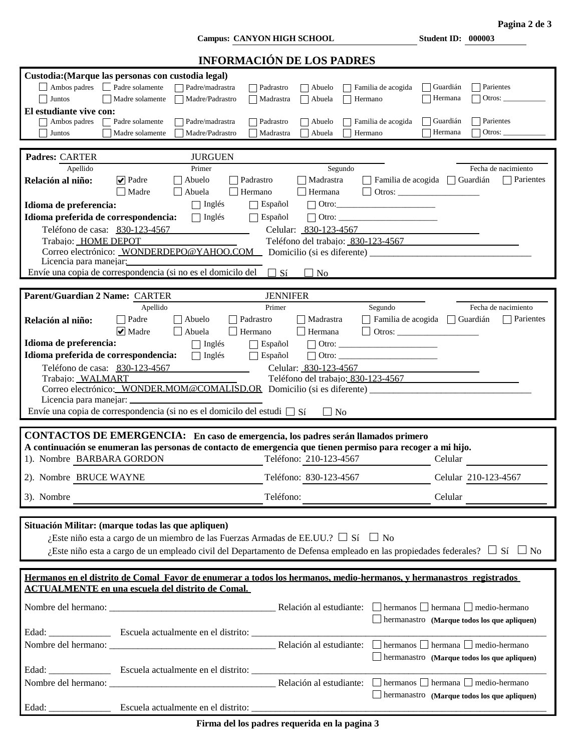**Campus: CANYON HIGH SCHOOL Student ID: 000003**

|                                                   | Pagina 2 de 3 |  |
|---------------------------------------------------|---------------|--|
| $C_{\text{total}} \sim 1$ $\text{ID}$ , $0.00002$ |               |  |

| <b>INFORMACIÓN DE LOS PADRES</b>                                                                                                                                                                                                                                                                 |                                                                            |
|--------------------------------------------------------------------------------------------------------------------------------------------------------------------------------------------------------------------------------------------------------------------------------------------------|----------------------------------------------------------------------------|
| Custodia: (Marque las personas con custodia legal)<br>Ambos padres<br>Padre solamente<br>Familia de acogida<br>Padre/madrastra<br>Padrastro<br>$ $ Abuelo<br>Madre solamente<br>$\Box$ Abuela<br>Juntos<br>Madre/Padrastro<br>Madrastra<br>Hermano<br>El estudiante vive con:<br>Padre solamente | Parientes<br>Guardián<br>Otros: $\_\_$<br>Hermana<br>Parientes<br>Guardián |
| Ambos padres<br>Padre/madrastra<br>Padrastro<br>$\vert$ Abuelo<br>Familia de acogida<br>Abuela<br>Juntos<br>Madre solamente<br>Madre/Padrastro<br>Madrastra<br>Hermano                                                                                                                           | Hermana<br>Otros: $\_\_$                                                   |
|                                                                                                                                                                                                                                                                                                  |                                                                            |
| Padres: CARTER<br><b>JURGUEN</b>                                                                                                                                                                                                                                                                 |                                                                            |
| Apellido<br>Primer<br>Segundo                                                                                                                                                                                                                                                                    | Fecha de nacimiento                                                        |
| $ \mathbf{v} $ Padre<br>Abuelo<br>Padrastro<br>  Madrastra<br>Familia de acogida<br>Relación al niño:<br>Madre<br>Abuela<br>$\Box$ Hermana<br>Hermano                                                                                                                                            | Parientes<br>Guardián                                                      |
| $\Box$ Inglés<br>$\Box$ Español<br>$\Box$ Otro:<br>Idioma de preferencia:                                                                                                                                                                                                                        |                                                                            |
| Idioma preferida de correspondencia:<br>$\Box$ Inglés<br>$\Box$ Español<br>$\boxed{\fbox{Otro:}\qquad \qquad }\qquad \qquad ~~\qquad \qquad \Box$                                                                                                                                                |                                                                            |
| Teléfono de casa: 830-123-4567<br>Celular: 830-123-4567                                                                                                                                                                                                                                          |                                                                            |
| Trabajo: HOME DEPOT<br>Teléfono del trabajo: 830-123-4567                                                                                                                                                                                                                                        |                                                                            |
| Licencia para manejar:                                                                                                                                                                                                                                                                           |                                                                            |
| Envíe una copia de correspondencia (si no es el domicilo del<br>$\Box$ Sí<br>$\vert$   No                                                                                                                                                                                                        |                                                                            |
|                                                                                                                                                                                                                                                                                                  |                                                                            |
| Parent/Guardian 2 Name: CARTER<br><b>JENNIFER</b>                                                                                                                                                                                                                                                |                                                                            |
| Apellido<br>Primer<br>Segundo                                                                                                                                                                                                                                                                    | Fecha de nacimiento                                                        |
| Padre<br>Abuelo<br>Padrastro<br>Madrastra<br>Relación al niño:                                                                                                                                                                                                                                   | Parientes<br>$\Box$ Familia de acogida $\Box$ Guardián                     |
| $\vee$ Madre<br>Abuela<br>$\Box$<br>$\Box$ Hermana<br>Hermano                                                                                                                                                                                                                                    |                                                                            |
| Idioma de preferencia:<br>$\Box$ Inglés<br>Español<br>$\vert \ \ \vert$                                                                                                                                                                                                                          |                                                                            |
| Idioma preferida de correspondencia:<br>$\Box$ Inglés<br>$\Box$ Español<br>$\Box$ Otro:                                                                                                                                                                                                          |                                                                            |
| Teléfono de casa: 830-123-4567<br>Celular: 830-123-4567                                                                                                                                                                                                                                          |                                                                            |
| Teléfono del trabajo: 830-123-4567<br>Trabajo: WALMART                                                                                                                                                                                                                                           |                                                                            |
| Correo electrónico: WONDER.MOM@COMALISD.OR Domicilio (si es diferente) _____________________________                                                                                                                                                                                             |                                                                            |
| Licencia para manejar:                                                                                                                                                                                                                                                                           |                                                                            |
| Envíe una copia de correspondencia (si no es el domicilo del estudi $\square$ Sí<br>$\Box$ No                                                                                                                                                                                                    |                                                                            |
| CONTACTOS DE EMERGENCIA: En caso de emergencia, los padres serán llamados primero                                                                                                                                                                                                                |                                                                            |
| A continuación se enumeran las personas de contacto de emergencia que tienen permiso para recoger a mi hijo.                                                                                                                                                                                     |                                                                            |
| 1). Nombre BARBARA GORDON<br>Teléfono: 210-123-4567                                                                                                                                                                                                                                              | Celular                                                                    |
| 2). Nombre BRUCE WAYNE<br>Teléfono: 830-123-4567                                                                                                                                                                                                                                                 | Celular 210-123-4567                                                       |
| 3). Nombre<br>Teléfono:                                                                                                                                                                                                                                                                          | Celular                                                                    |
|                                                                                                                                                                                                                                                                                                  |                                                                            |
| Situación Militar: (marque todas las que apliquen)<br>¿Este niño esta a cargo de un miembro de las Fuerzas Armadas de EE.UU.? $\Box$ Sí $\Box$ No<br>¿Este niño esta a cargo de un empleado civil del Departamento de Defensa empleado en las propiedades federales? $\Box$ Sí $\Box$ No         |                                                                            |
| Hermanos en el distrito de Comal Favor de enumerar a todos los hermanos, medio-hermanos, y hermanastros registrados                                                                                                                                                                              |                                                                            |
| <b>ACTUALMENTE en una escuela del distrito de Comal.</b>                                                                                                                                                                                                                                         |                                                                            |
|                                                                                                                                                                                                                                                                                                  | hermanastro (Marque todos los que apliquen)                                |
|                                                                                                                                                                                                                                                                                                  |                                                                            |
|                                                                                                                                                                                                                                                                                                  |                                                                            |
|                                                                                                                                                                                                                                                                                                  | hermanastro (Marque todos los que apliquen)                                |
|                                                                                                                                                                                                                                                                                                  |                                                                            |
|                                                                                                                                                                                                                                                                                                  |                                                                            |
|                                                                                                                                                                                                                                                                                                  |                                                                            |
| Edad:                                                                                                                                                                                                                                                                                            | $\Box$ hermanastro (Marque todos los que apliquen)                         |
|                                                                                                                                                                                                                                                                                                  |                                                                            |

**Firma del los padres requerida en la pagina 3**